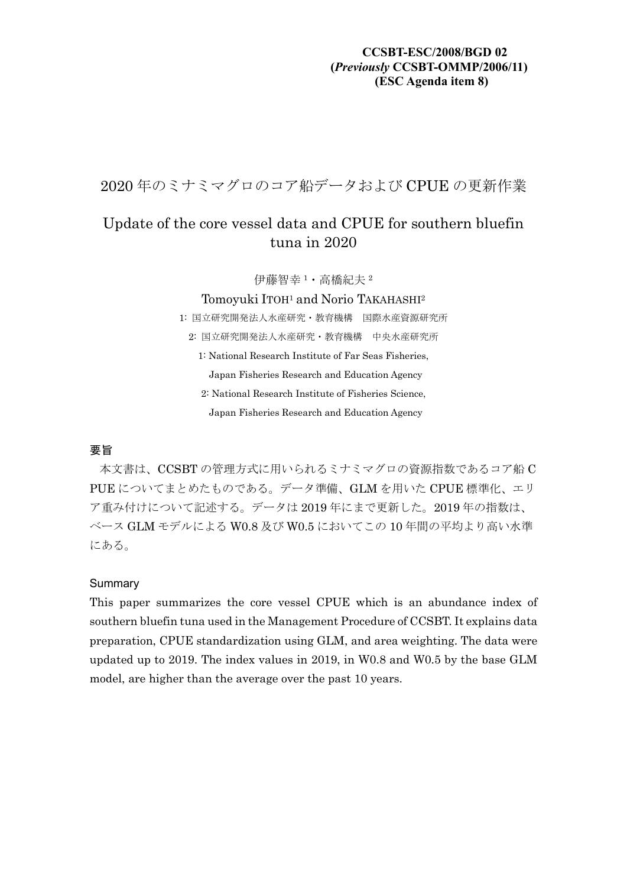### **CCSBT-ESC/2008/BGD 02 (***Previously* **CCSBT-OMMP/2006/11) (ESC Agenda item 8)**

2020 年のミナミマグロのコア船データおよび CPUE の更新作業

# Update of the core vessel data and CPUE for southern bluefin tuna in 2020

伊藤智幸 <sup>1</sup>・高橋紀夫 <sup>2</sup>

#### Tomoyuki ITOH<sup>1</sup> and Norio TAKAHASHI<sup>2</sup>

1: 国立研究開発法人水産研究・教育機構 国際水産資源研究所 2: 国立研究開発法人水産研究・教育機構 中央水産研究所

1: National Research Institute of Far Seas Fisheries,

Japan Fisheries Research and Education Agency

2: National Research Institute of Fisheries Science,

Japan Fisheries Research and Education Agency

### 要旨

本文書は、CCSBT の管理方式に用いられるミナミマグロの資源指数であるコア船 C PUE についてまとめたものである。データ準備、GLM を用いた CPUE 標準化、エリ ア重み付けについて記述する。データは 2019 年にまで更新した。2019 年の指数は、 ベース GLM モデルによる W0.8 及び W0.5 においてこの 10 年間の平均より高い水準 にある。

#### Summary

This paper summarizes the core vessel CPUE which is an abundance index of southern bluefin tuna used in the Management Procedure of CCSBT. It explains data preparation, CPUE standardization using GLM, and area weighting. The data were updated up to 2019. The index values in 2019, in W0.8 and W0.5 by the base GLM model, are higher than the average over the past 10 years.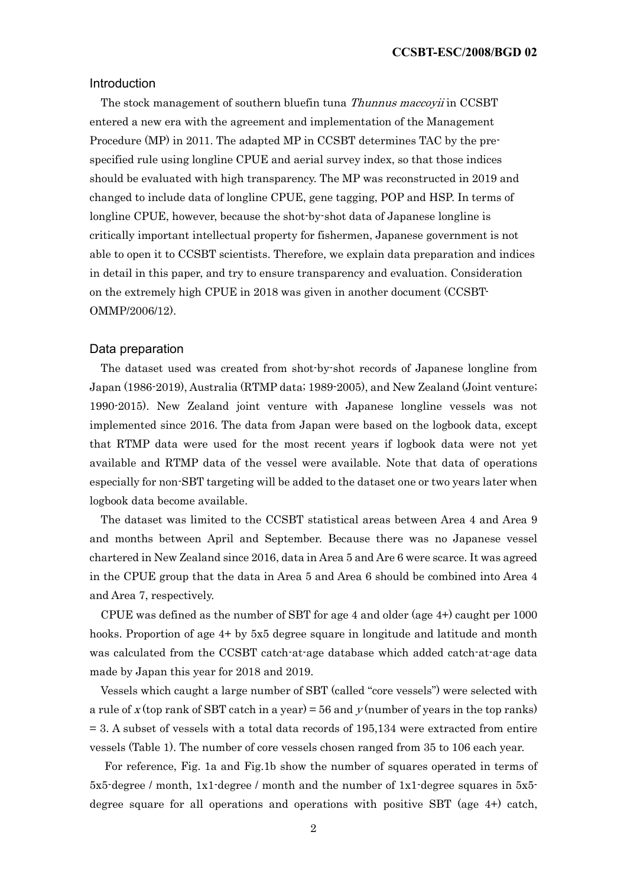#### Introduction

The stock management of southern bluefin tuna *Thunnus maccovii* in CCSBT entered a new era with the agreement and implementation of the Management Procedure (MP) in 2011. The adapted MP in CCSBT determines TAC by the prespecified rule using longline CPUE and aerial survey index, so that those indices should be evaluated with high transparency. The MP was reconstructed in 2019 and changed to include data of longline CPUE, gene tagging, POP and HSP. In terms of longline CPUE, however, because the shot-by-shot data of Japanese longline is critically important intellectual property for fishermen, Japanese government is not able to open it to CCSBT scientists. Therefore, we explain data preparation and indices in detail in this paper, and try to ensure transparency and evaluation. Consideration on the extremely high CPUE in 2018 was given in another document (CCSBT-OMMP/2006/12).

#### Data preparation

The dataset used was created from shot-by-shot records of Japanese longline from Japan (1986-2019), Australia (RTMP data; 1989-2005), and New Zealand (Joint venture; 1990-2015). New Zealand joint venture with Japanese longline vessels was not implemented since 2016. The data from Japan were based on the logbook data, except that RTMP data were used for the most recent years if logbook data were not yet available and RTMP data of the vessel were available. Note that data of operations especially for non-SBT targeting will be added to the dataset one or two years later when logbook data become available.

The dataset was limited to the CCSBT statistical areas between Area 4 and Area 9 and months between April and September. Because there was no Japanese vessel chartered in New Zealand since 2016, data in Area 5 and Are 6 were scarce. It was agreed in the CPUE group that the data in Area 5 and Area 6 should be combined into Area 4 and Area 7, respectively.

CPUE was defined as the number of SBT for age 4 and older (age 4+) caught per 1000 hooks. Proportion of age 4+ by 5x5 degree square in longitude and latitude and month was calculated from the CCSBT catch-at-age database which added catch-at-age data made by Japan this year for 2018 and 2019.

Vessels which caught a large number of SBT (called "core vessels") were selected with a rule of x (top rank of SBT catch in a year) = 56 and  $v$  (number of years in the top ranks)  $= 3.$  A subset of vessels with a total data records of  $195,134$  were extracted from entire vessels (Table 1). The number of core vessels chosen ranged from 35 to 106 each year.

For reference, Fig. 1a and Fig.1b show the number of squares operated in terms of 5x5-degree / month, 1x1-degree / month and the number of 1x1-degree squares in 5x5 degree square for all operations and operations with positive SBT (age 4+) catch,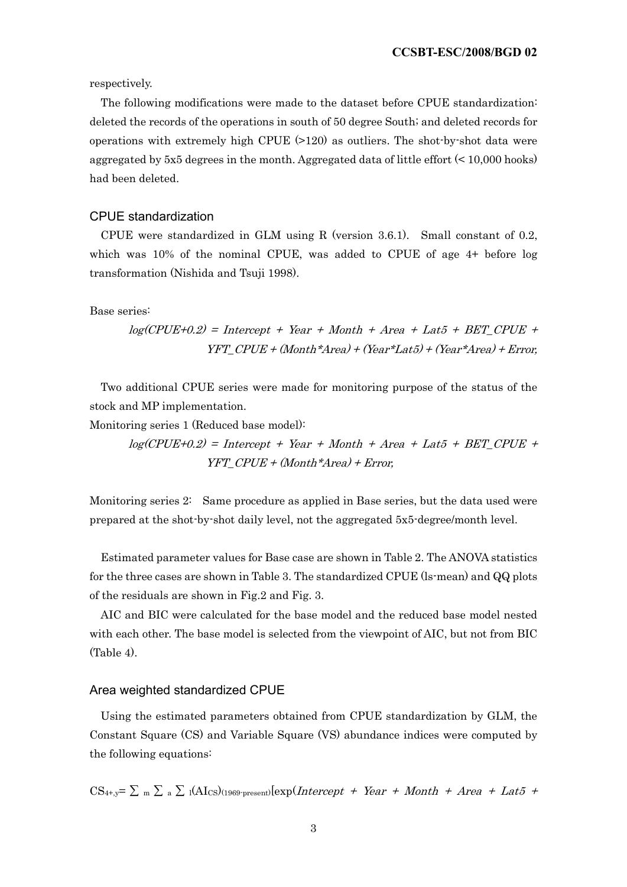respectively.

The following modifications were made to the dataset before CPUE standardization: deleted the records of the operations in south of 50 degree South; and deleted records for operations with extremely high CPUE (>120) as outliers. The shot-by-shot data were aggregated by 5x5 degrees in the month. Aggregated data of little effort (< 10,000 hooks) had been deleted.

#### CPUE standardization

CPUE were standardized in GLM using R (version 3.6.1). Small constant of 0.2, which was 10% of the nominal CPUE, was added to CPUE of age 4+ before log transformation (Nishida and Tsuji 1998).

Base series:

$$
log(CPUE+0.2) = Intercept + Year + Month + Area + Lat5 + BET\_CPUE +YFT_CPUE + (Month*Area) + (Year*Lat5) + (Year*Area) + Error;
$$

Two additional CPUE series were made for monitoring purpose of the status of the stock and MP implementation.

Monitoring series 1 (Reduced base model):

 $log(CPUE+0.2)$  = Intercept + Year + Month + Area + Lat5 + BET CPUE +  $YFT$   $CPUE + (Month*Area) + Error,$ 

Monitoring series 2: Same procedure as applied in Base series, but the data used were prepared at the shot-by-shot daily level, not the aggregated 5x5-degree/month level.

Estimated parameter values for Base case are shown in Table 2. The ANOVA statistics for the three cases are shown in Table 3. The standardized CPUE (ls-mean) and QQ plots of the residuals are shown in Fig.2 and Fig. 3.

AIC and BIC were calculated for the base model and the reduced base model nested with each other. The base model is selected from the viewpoint of AIC, but not from BIC (Table 4).

#### Area weighted standardized CPUE

Using the estimated parameters obtained from CPUE standardization by GLM, the Constant Square (CS) and Variable Square (VS) abundance indices were computed by the following equations:

 $CS_{4+,y} = \sum_{m} \sum_{a} \sum_{l}(AI_{CS})_{(1969-present)}[exp(Intercept + Year + Month + Area + Lat5 +$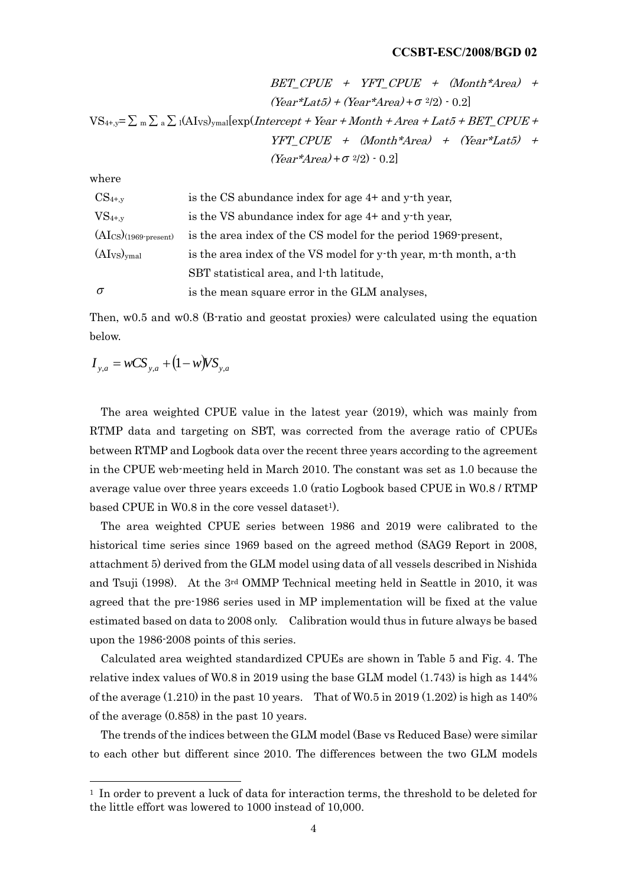$$
BET\_CPUE + YFT\_CPUE + (Month*Area) + (Year*Area) + (Year*Area) + \sigma^{2/2}) \cdot 0.2]
$$
  
\n
$$
VS_{4+,y} = \sum_{m} \sum_{a} \sum_{l} (AI_{VS})_{ymal} [exp(Intercept + Year + Month + Area + Lat5 + BET\_CPUE +\nYFT\_CPUE + (Month*Area) + (Year*Lat5) +\n(Year*Area) + \sigma^{2/2}) \cdot 0.2]
$$

where

| $CS_{4+,y}$                         | is the CS abundance index for age 4+ and y-th year,               |
|-------------------------------------|-------------------------------------------------------------------|
| $VS_{4+,y}$                         | is the VS abundance index for age 4+ and y-th year,               |
| $(AI_{CS})$ (1969-present)          | is the area index of the CS model for the period 1969 present,    |
| (AI <sub>VS</sub> ) <sub>ymal</sub> | is the area index of the VS model for y-th year, m-th month, a-th |
|                                     | SBT statistical area, and l-th latitude,                          |
| $\sigma$                            | is the mean square error in the GLM analyses,                     |

Then,  $w0.5$  and  $w0.8$  (B-ratio and geostat proxies) were calculated using the equation below.

 $I_{y,a} = wCS_{y,a} + (1 - w)VS_{y,a}$ 

The area weighted CPUE value in the latest year (2019), which was mainly from RTMP data and targeting on SBT, was corrected from the average ratio of CPUEs between RTMP and Logbook data over the recent three years according to the agreement in the CPUE web-meeting held in March 2010. The constant was set as 1.0 because the average value over three years exceeds 1.0 (ratio Logbook based CPUE in W0.8 / RTMP based CPUE in W0.8 in the core vessel dataset<sup>1</sup>).

The area weighted CPUE series between 1986 and 2019 were calibrated to the historical time series since 1969 based on the agreed method (SAG9 Report in 2008, attachment 5) derived from the GLM model using data of all vessels described in Nishida and Tsuji (1998). At the 3rd OMMP Technical meeting held in Seattle in 2010, it was agreed that the pre-1986 series used in MP implementation will be fixed at the value estimated based on data to 2008 only. Calibration would thus in future always be based upon the 1986-2008 points of this series.

Calculated area weighted standardized CPUEs are shown in Table 5 and Fig. 4. The relative index values of W0.8 in 2019 using the base GLM model (1.743) is high as 144% of the average  $(1.210)$  in the past 10 years. That of W0.5 in 2019  $(1.202)$  is high as 140% of the average (0.858) in the past 10 years.

The trends of the indices between the GLM model (Base vs Reduced Base) were similar to each other but different since 2010. The differences between the two GLM models

<sup>1</sup> In order to prevent a luck of data for interaction terms, the threshold to be deleted for the little effort was lowered to 1000 instead of 10,000.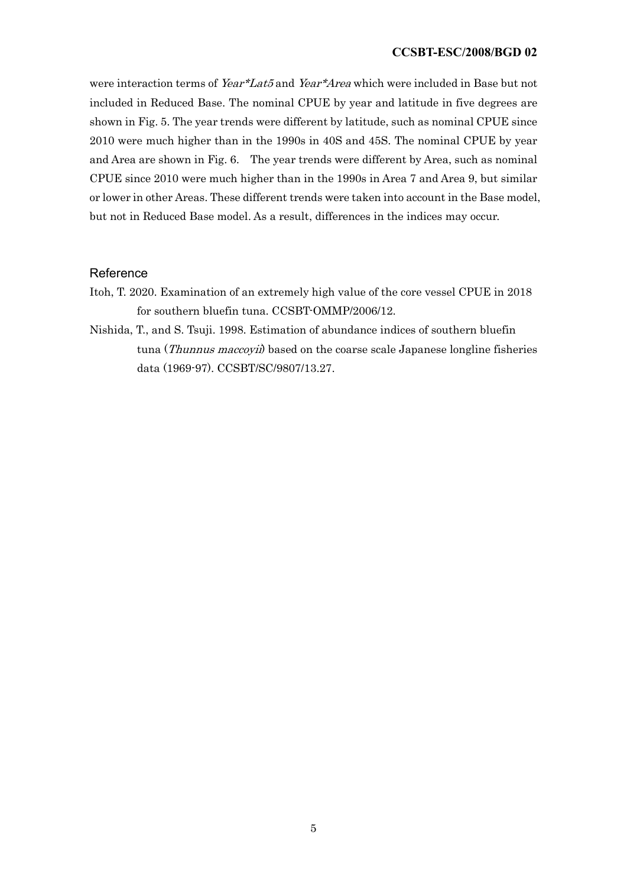were interaction terms of Year\*Lat5 and Year\*Area which were included in Base but not included in Reduced Base. The nominal CPUE by year and latitude in five degrees are shown in Fig. 5. The year trends were different by latitude, such as nominal CPUE since 2010 were much higher than in the 1990s in 40S and 45S. The nominal CPUE by year and Area are shown in Fig. 6. The year trends were different by Area, such as nominal CPUE since 2010 were much higher than in the 1990s in Area 7 and Area 9, but similar or lower in other Areas. These different trends were taken into account in the Base model, but not in Reduced Base model. As a result, differences in the indices may occur.

#### Reference

- Itoh, T. 2020. Examination of an extremely high value of the core vessel CPUE in 2018 for southern bluefin tuna. CCSBT-OMMP/2006/12.
- Nishida, T., and S. Tsuji. 1998. Estimation of abundance indices of southern bluefin tuna (Thunnus maccoyii) based on the coarse scale Japanese longline fisheries data (1969-97). CCSBT/SC/9807/13.27.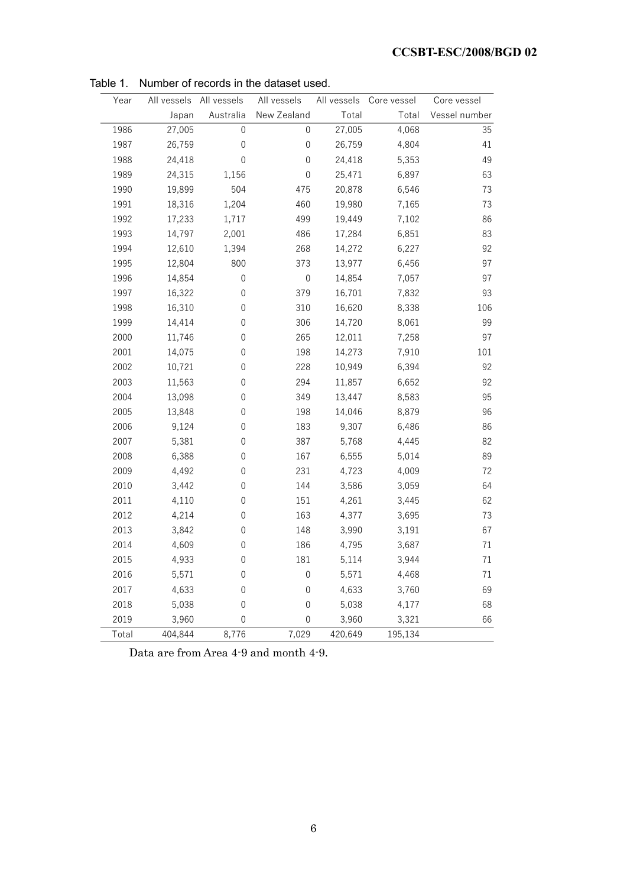| Year  | All vessels | All vessels      | All vessels      | All vessels | Core vessel | Core vessel   |
|-------|-------------|------------------|------------------|-------------|-------------|---------------|
|       | Japan       | Australia        | New Zealand      | Total       | Total       | Vessel number |
| 1986  | 27,005      | 0                | 0                | 27,005      | 4,068       | 35            |
| 1987  | 26,759      | $\boldsymbol{0}$ | $\boldsymbol{0}$ | 26,759      | 4,804       | 41            |
| 1988  | 24,418      | 0                | 0                | 24,418      | 5,353       | 49            |
| 1989  | 24,315      | 1,156            | 0                | 25,471      | 6,897       | 63            |
| 1990  | 19,899      | 504              | 475              | 20,878      | 6,546       | 73            |
| 1991  | 18,316      | 1,204            | 460              | 19,980      | 7,165       | 73            |
| 1992  | 17,233      | 1,717            | 499              | 19,449      | 7,102       | 86            |
| 1993  | 14,797      | 2,001            | 486              | 17,284      | 6,851       | 83            |
| 1994  | 12,610      | 1,394            | 268              | 14,272      | 6,227       | 92            |
| 1995  | 12,804      | 800              | 373              | 13,977      | 6,456       | 97            |
| 1996  | 14,854      | $\boldsymbol{0}$ | $\boldsymbol{0}$ | 14,854      | 7,057       | 97            |
| 1997  | 16,322      | $\boldsymbol{0}$ | 379              | 16,701      | 7,832       | 93            |
| 1998  | 16,310      | $\boldsymbol{0}$ | 310              | 16,620      | 8,338       | 106           |
| 1999  | 14,414      | $\boldsymbol{0}$ | 306              | 14,720      | 8,061       | 99            |
| 2000  | 11,746      | $\boldsymbol{0}$ | 265              | 12,011      | 7,258       | 97            |
| 2001  | 14,075      | $\boldsymbol{0}$ | 198              | 14,273      | 7,910       | 101           |
| 2002  | 10,721      | $\boldsymbol{0}$ | 228              | 10,949      | 6,394       | 92            |
| 2003  | 11,563      | 0                | 294              | 11,857      | 6,652       | 92            |
| 2004  | 13,098      | 0                | 349              | 13,447      | 8,583       | 95            |
| 2005  | 13,848      | 0                | 198              | 14,046      | 8,879       | 96            |
| 2006  | 9,124       | 0                | 183              | 9,307       | 6,486       | 86            |
| 2007  | 5,381       | 0                | 387              | 5,768       | 4,445       | 82            |
| 2008  | 6,388       | $\boldsymbol{0}$ | 167              | 6,555       | 5,014       | 89            |
| 2009  | 4,492       | $\boldsymbol{0}$ | 231              | 4,723       | 4,009       | 72            |
| 2010  | 3,442       | $\boldsymbol{0}$ | 144              | 3,586       | 3,059       | 64            |
| 2011  | 4,110       | $\boldsymbol{0}$ | 151              | 4,261       | 3,445       | 62            |
| 2012  | 4,214       | 0                | 163              | 4,377       | 3,695       | 73            |
| 2013  | 3,842       | 0                | 148              | 3,990       | 3,191       | 67            |
| 2014  | 4,609       | 0                | 186              | 4,795       | 3,687       | $71\,$        |
| 2015  | 4,933       | $\boldsymbol{0}$ | 181              | 5,114       | 3,944       | 71            |
| 2016  | 5,571       | $\boldsymbol{0}$ | $\boldsymbol{0}$ | 5,571       | 4,468       | 71            |
| 2017  | 4,633       | $\boldsymbol{0}$ | $\boldsymbol{0}$ | 4,633       | 3,760       | 69            |
| 2018  | 5,038       | 0                | 0                | 5,038       | 4,177       | 68            |
| 2019  | 3,960       | $\boldsymbol{0}$ | $\mathbf 0$      | 3,960       | 3,321       | 66            |
| Total | 404,844     | 8,776            | 7,029            | 420,649     | 195,134     |               |

Table 1. Number of records in the dataset used.

Data are from Area 4-9 and month 4-9.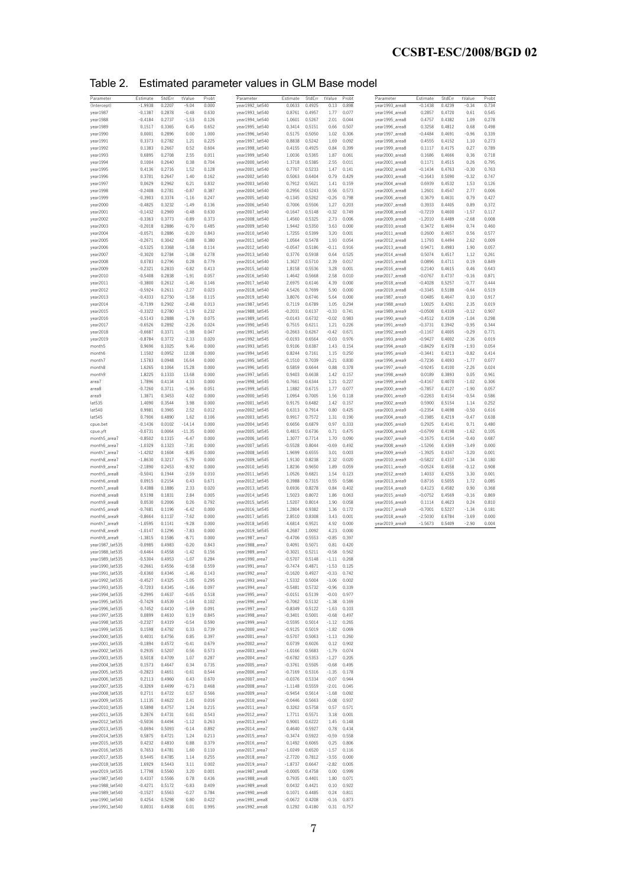Table 2. Estimated parameter values in GLM Base model

| Parameter                          | Estimate  | StdErr | tValue   | Probt | Parameter       | Estimate  | StdErr           | tValue  | Probt | Parameter      | Estimate  | StdErr | tValue  | Probt |
|------------------------------------|-----------|--------|----------|-------|-----------------|-----------|------------------|---------|-------|----------------|-----------|--------|---------|-------|
| (Intercept)                        | $-1.9938$ | 0.2207 | $-9.04$  | 0.000 | year1992_lat540 | 0.0633    | 0.4925           | 0.13    | 0.898 | year1993_area8 | $-0.1438$ | 0.4239 | $-0.34$ | 0.734 |
| year1987                           | $-0.1387$ | 0.2878 | $-0.48$  | 0.630 | year1993_lat540 | 0.8761    | 0.4957           | 1.77    | 0.077 | year1994_area8 | 0.2857    | 0.4720 | 0.61    | 0.545 |
| year1988                           | $-0.4184$ | 0.2737 | $-1.53$  | 0.126 | year1994_lat540 | 1.0601    | 0.5267           | 2.01    | 0.044 | year1995_area8 | 0.4757    | 0.4382 | 1.09    | 0.278 |
| year1989                           | 0.1517    | 0.3365 | 0.45     | 0.652 | year1995_lat540 | 0.3414    | 0.5151           | 0.66    | 0.507 | year1996_area8 | 0.3258    | 0.4812 | 0.68    | 0.498 |
| year1990                           | 0.0001    | 0.2896 | 0.00     | 1.000 | year1996_lat540 | 0.5175    | 0.5050           | 1.02    | 0.306 | year1997_area8 | $-0.4484$ | 0.4691 | $-0.96$ | 0.339 |
| year1991                           | 0.3373    | 0.2782 | 1.21     | 0.225 | year1997_lat540 | 0.8838    | 0.5242           | 1.69    | 0.092 | year1998_area8 | 0.4555    | 0.4152 | 1.10    | 0.273 |
| year1992                           | 0.1383    | 0.2667 | 0.52     | 0.604 | year1998_lat540 | 0.4155    | 0.4925           | 0.84    | 0.399 | year1999_area8 | 0.1117    | 0.4175 | 0.27    | 0.789 |
| year1993                           | 0.6895    | 0.2708 | 2.55     | 0.011 | year1999_lat540 | 1.0036    | 0.5365           | 1.87    | 0.061 | year2000_area8 | 0.1686    | 0.4666 | 0.36    | 0.718 |
| year1994                           | 0.1004    | 0.2640 | 0.38     | 0.704 | year2000_lat540 | 1.3718    | 0.5385           | 2.55    | 0.011 | year2001_area8 | 0.1171    | 0.4515 | 0.26    | 0.795 |
| year1995                           | 0.4136    | 0.2716 | 1.52     | 0.128 | year2001_lat540 | 0.7707    | 0.5233           | 1.47    | 0.141 | year2002_area8 | $-0.1434$ | 0.4763 | $-0.30$ | 0.763 |
| year1996                           | 0.3701    | 0.2647 | 1.40     | 0.162 | year2002_lat540 | 0.5063    | 0.6404           | 0.79    | 0.429 | year2003_area8 | $-0.1643$ | 0.5090 | $-0.32$ | 0.747 |
| year1997                           | 0.0629    | 0.2962 | 0.21     | 0.832 | year2003_lat540 | 0.7912    | 0.5621           | 1.41    | 0.159 | year2004_area8 | 0.6939    | 0.4532 | 1.53    | 0.126 |
| year1998                           | $-0.2408$ | 0.2781 | $-0.87$  | 0.387 | year2004_lat540 | 0.2956    | 0.5243           | 0.56    | 0.573 | year2005_area8 | 1.2601    | 0.4547 | 2.77    | 0.006 |
| year1999                           | $-0.3903$ | 0.3374 | $-1.16$  | 0.247 | year2005_lat540 | $-0.1345$ | 0.5262           | $-0.26$ | 0.798 | year2006_area8 | 0.3679    | 0.4631 | 0.79    | 0.427 |
| year2000                           | $-0.4825$ | 0.3232 | $-1.49$  | 0.136 | year2006_lat540 | 0.7006    | 0.5506           | 1.27    | 0.203 | year2007_area8 | 0.3933    | 0.4405 | 0.89    | 0.372 |
| year2001                           | $-0.1432$ | 0.2969 | $-0.48$  | 0.630 | year2007_lat540 | $-0.1647$ | 0.5148           | $-0.32$ | 0.749 | year2008_area8 | $-0.7219$ | 0.4600 | $-1.57$ | 0.117 |
| year2002                           | $-0.3363$ | 0.3773 | $-0.89$  | 0.373 | year2008_lat540 | 1.4560    | 0.5325           | 2.73    | 0.006 | year2009_area8 | $-1.2010$ | 0.4489 | $-2.68$ | 0.008 |
| year2003                           | $-0.2018$ | 0.2886 | $-0.70$  | 0.485 | year2009_lat540 | 1.9442    | 0.5350           | 3.63    | 0.000 | year2010_area8 | 0.3472    | 0.4694 | 0.74    | 0.460 |
|                                    |           |        |          |       |                 |           |                  |         |       |                |           |        |         |       |
| year2004                           | $-0.0571$ | 0.2886 | $-0.20$  | 0.843 | year2010_lat540 | 1.7255    | 0.5399           | 3.20    | 0.001 | year2011_area8 | 0.2600    | 0.4657 | 0.56    | 0.577 |
| year2005                           | $-0.2671$ | 0.3042 | $-0.88$  | 0.380 | year2011_lat540 | 1.0564    | 0.5478           | 1.93    | 0.054 | year2012_area8 | 1.1793    | 0.4494 | 2.62    | 0.009 |
| year2006                           | $-0.5325$ | 0.3368 | $-1.58$  | 0.114 | year2012_lat540 | $-0.0547$ | 0.5186           | $-0.11$ | 0.916 | year2013_area8 | 0.9471    | 0.4983 | 1.90    | 0.057 |
| year2007                           | $-0.3020$ | 0.2784 | $-1.08$  | 0.278 | year2013_lat540 | 0.3776    | 0.5938           | 0.64    | 0.525 | year2014_area8 | 0.5074    | 0.4517 | 1.12    | 0.261 |
| year2008                           | 0.0783    | 0.2796 | 0.28     | 0.779 | year2014_lat540 | 1.3627    | 0.5710           | 2.39    | 0.017 | year2015_area8 | 0.0896    | 0.4711 | 0.19    | 0.849 |
| year2009                           | $-0.2321$ | 0.2833 | $-0.82$  | 0.413 | year2015_lat540 | 1.8158    | 0.5536           | 3.28    | 0.001 | year2016_area8 | 0.2140    | 0.4615 | 0.46    | 0.643 |
| year2010                           | $-0.5408$ | 0.2838 | $-1.91$  | 0.057 | year2016_lat540 | 1.4642    | 0.5668           | 2.58    | 0.010 | year2017_area8 | $-0.0767$ | 0.4737 | $-0.16$ | 0.871 |
| year2011                           | $-0.3800$ | 0.2612 | $-1.46$  | 0.146 | year2017_lat540 | 2.6975    | 0.6146           | 4.39    | 0.000 | year2018_area8 | $-0.4028$ | 0.5257 | $-0.77$ | 0.444 |
| year2012                           | $-0.5924$ | 0.2611 | $-2.27$  | 0.023 | year2018_lat540 | 4.5426    | 0.7699           | 5.90    | 0.000 | year2019_area8 | $-0.3345$ | 0.5188 | $-0.64$ | 0.519 |
| year2013                           | $-0.4333$ | 0.2750 | $-1.58$  | 0.115 | year2019_lat540 | 3.8076    | 0.6746           | 5.64    | 0.000 | year1987_area9 | 0.0485    | 0.4647 | 0.10    | 0.917 |
| year2014                           | $-0.7199$ | 0.2902 | $-2.48$  | 0.013 | year1987_lat545 | 0.7119    | 0.6789           | 1.05    | 0.294 | year1988_area9 | 1.0025    | 0.4261 | 2.35    | 0.019 |
| year2015                           | $-0.3322$ | 0.2780 | $-1.19$  | 0.232 | year1988_lat545 | $-0.2031$ | 0.6137           | $-0.33$ | 0.741 | year1989_area9 | $-0.0508$ | 0.4339 | $-0.12$ | 0.907 |
| year2016                           | $-0.5143$ | 0.2888 | $-1.78$  | 0.075 | year1989_lat545 | $-0.0143$ | 0.6732           | $-0.02$ | 0.983 | year1990_area9 | $-0.4512$ | 0.4339 | $-1.04$ | 0.298 |
| year2017                           | $-0.6526$ | 0.2892 | $-2.26$  | 0.024 | year1990_lat545 | 0.7515    | 0.6211           | 1.21    | 0.226 | year1991_area9 | $-0.3731$ | 0.3942 | $-0.95$ | 0.344 |
| year2018                           | $-0.6687$ | 0.3371 | $-1.98$  | 0.047 | year1991_lat545 | $-0.2663$ | 0.6267           | $-0.42$ | 0.671 | year1992_area9 | $-0.1167$ | 0.4005 | $-0.29$ | 0.771 |
| year2019                           | $-0.8784$ | 0.3772 | $-2.33$  | 0.020 | year1992_lat545 | $-0.0193$ | 0.6564           | $-0.03$ | 0.976 | year1993_area9 | $-0.9427$ | 0.4002 | $-2.36$ | 0.019 |
| month5                             | 0.9696    | 0.1025 | 9.46     | 0.000 | year1993_lat545 | 0.9106    | 0.6387           | 1.43    | 0.154 | year1994_area9 | $-0.8429$ | 0.4378 | $-1.93$ | 0.054 |
| month6                             | 1.1502    | 0.0952 | 12.08    | 0.000 | year1994_lat545 | 0.8244    | 0.7161           | 1.15    | 0.250 | year1995_area9 | $-0.3441$ | 0.4213 | $-0.82$ | 0.414 |
|                                    |           |        |          |       |                 |           |                  | $-0.21$ |       |                |           |        |         | 0.077 |
| month7                             | 1.5783    | 0.0948 | 16.64    | 0.000 | year1995_lat545 | $-0.1510$ | 0.7039           |         | 0.830 | year1996_area9 | $-0.7236$ | 0.4093 | $-1.77$ |       |
| month8                             | 1.6265    | 0.1064 | 15.28    | 0.000 | year1996_lat545 | 0.5859    | 0.6644           | 0.88    | 0.378 | year1997_area9 | $-0.9245$ | 0.4100 | $-2.26$ | 0.024 |
| month9                             | 1,8225    | 0.1333 | 13.68    | 0.000 | year1997_lat545 | 0.9403    | 0.6638           | 1.42    | 0.157 | year1998_area9 | 0.0189    | 0.3893 | 0.05    | 0.961 |
| areal                              | 1.7896    | 0.4134 | 4.33     | 0.000 | year1998_lat545 | 0.7661    | 0.6344           | 1.21    | 0.227 | year1999_area9 | $-0.4167$ | 0.4070 | $-1.02$ | 0.306 |
| area8                              | $-0.7260$ | 0.3711 | $-1.96$  | 0.051 | year1999_lat545 | 1.1882    | 0.6715           | 1.77    | 0.077 | year2000_area9 | $-0.7857$ | 0.4127 | $-1.90$ | 0.057 |
| area9                              | 1.3871    | 0.3453 | 4.02     | 0.000 | year2000_lat545 | 1.0954    | 0.7005           | 1.56    | 0.118 | year2001_area9 | $-0.2263$ | 0.4154 | $-0.54$ | 0.586 |
| lat535                             | 1.4090    | 0.3544 | 3.98     | 0.000 | year2001_lat545 | 0.9175    | 0.6482           | 1.42    | 0.157 | year2002_area9 | 0.5900    | 0.5154 | 1.14    | 0.252 |
| lat540                             | 0.9981    | 0.3965 | 2.52     | 0.012 | year2002_lat545 | 0.6313    | 0.7914           | 0.80    | 0.425 | year2003_area9 | $-0.2354$ | 0.4698 | $-0.50$ | 0.616 |
| lat545                             | 0.7906    | 0.4890 | 1.62     | 0.106 | year2003_lat545 | 0.9917    | 0.7572           | 1.31    | 0.190 | year2004_area9 | $-0.1985$ | 0.4219 | $-0.47$ | 0.638 |
| cpue.bet                           | $-0.1436$ | 0.0102 | $-14.14$ | 0.000 | year2004_lat545 | 0.6656    | 0.6879           | 0.97    | 0.333 | year2005_area9 | 0.2925    | 0.4141 | 0.71    | 0.480 |
| cpue.yft                           | $-0.0731$ | 0.0064 | $-11.35$ | 0.000 | year2005_lat545 | 0.4815    | 0.6736           | 0.71    | 0.475 | year2006_area9 | $-0.6799$ | 0.4198 | $-1.62$ | 0.105 |
| month5_area7                       | $-0.8502$ | 0.1315 | $-6.47$  | 0.000 | year2006_lat545 | 1.3077    | 0.7714           | 1.70    | 0.090 | year2007_area9 | $-0.1675$ | 0.4154 | $-0.40$ | 0.687 |
| month6_area7                       | $-1.0329$ | 0.1323 | $-7.81$  | 0.000 | year2007_lat545 | $-0.5528$ | 0.8044           | $-0.69$ | 0.492 | year2008_area9 | $-1.5266$ | 0.4369 | $-3.49$ | 0.000 |
| month7_area7                       | $-1.4202$ | 0.1604 | $-8.85$  | 0.000 | year2008_lat545 | 1.9699    | 0.6555           | 3.01    | 0.003 | year2009_area9 | $-1.3925$ | 0.4347 | $-3.20$ | 0.001 |
| month8_area7                       | $-1.8630$ | 0.3217 | $-5.79$  | 0.000 | year2009_lat545 | 1.9130    | 0.8238           | 2.32    | 0.020 | year2010_area9 | $-0.5822$ | 0.4337 | $-1.34$ | 0.180 |
| month9_area7                       | $-2.1890$ | 0.2453 | $-8.92$  | 0.000 | year2010_lat545 | 1.8236    | 0.9650           | 1.89    | 0.059 | year2011_area9 | $-0.0524$ | 0.4558 | $-0.12$ | 0.908 |
| month5_area8                       | $-0.5041$ | 0.1944 | $-2.59$  | 0.010 | year2011_lat545 | 1.0526    | 0.6821           | 1.54    | 0.123 | year2012_area9 | 1.4033    | 0.4255 | 3.30    | 0.001 |
|                                    | 0.0915    | 0.2154 | 0.43     | 0.671 |                 | 0.3988    | 0.7315           | 0.55    | 0.586 |                | 0.8716    | 0.5055 | 1.72    | 0.085 |
| month6_area8                       |           |        |          |       | year2012_lat545 |           |                  |         |       | year2013_area9 |           |        |         |       |
| month7_area8                       | 0.4388    | 0.1886 | 2.33     | 0.020 | year2013_lat545 | 0.6936    | 0.8278           | 0.84    | 0.402 | year2014_area9 | 0.4123    | 0.4582 | 0.90    | 0.368 |
| month8_area8                       | 0.5198    | 0.1831 | 2.84     | 0.005 | year2014_lat545 | 1.5023    | 0.8072           | 1.86    | 0.063 | year2015_area9 | $-0.0752$ | 0.4569 | $-0.16$ | 0.869 |
| month9_area8                       | 0.0530    | 0.2006 | 0.26     | 0.792 | year2015_lat545 | 1.5207    | 0.8014           | 1.90    | 0.058 | year2016_area9 | 0.1114    | 0.4623 | 0.24    | 0.810 |
| month5_area9                       | $-0.7681$ | 0.1196 | $-6.42$  | 0.000 | year2016_lat545 | 1.2804    | 0.9382           | 1.36    | 0.172 | year2017_area9 | $-0.7001$ | 0.5227 | $-1.34$ | 0.181 |
| month6_area9                       | $-0.8664$ | 0.1137 | $-7.62$  | 0.000 | year2017_lat545 | 2.8510    | 0.8308           | 3.43    | 0.001 | year2018_area9 | $-2.5030$ | 0.6784 | $-3.69$ | 0.000 |
| month7_area9                       | $-1.0595$ | 0.1141 | $-9.28$  | 0.000 | year2018_lat545 | 4.6814    | 0.9521           | 4.92    | 0.000 | year2019_area9 | $-1.5673$ | 0.5409 | $-2.90$ | 0.004 |
| month8_area9                       | $-1.0147$ | 0.1296 | $-7.83$  | 0.000 | year2019_lat545 | 4.2687    | 1.0092           | 4.23    | 0.000 |                |           |        |         |       |
| month9_area9                       | $-1.3815$ | 0.1586 | $-8.71$  | 0.000 | year1987_area7  | $-0.4706$ | 0.5553           | $-0.85$ | 0.397 |                |           |        |         |       |
| year1987_lat535                    | $-0.0985$ | 0.4983 | $-0.20$  | 0.843 | year1988_area7  | 0.4091    | 0.5071           | 0.81    | 0.420 |                |           |        |         |       |
| year1988_lat535                    | $-0.6464$ | 0.4558 | $-1.42$  | 0.156 | year1989_area7  | $-0.3021$ | 0.5211           | $-0.58$ | 0.562 |                |           |        |         |       |
| year1989_lat535                    | $-0.5304$ | 0.4953 | $-1.07$  | 0.284 | year1990_area7  | $-0.5707$ | 0.5148           | $-1.11$ | 0.268 |                |           |        |         |       |
| year1990_lat535                    | $-0.2661$ | 0.4556 | $-0.58$  | 0.559 | year1991_area7  | $-0.7474$ | 0.4871           | $-1.53$ | 0.125 |                |           |        |         |       |
| year1991_lat535                    | $-0.6360$ | 0.4346 | $-1.46$  | 0.143 | year1992_area7  | $-0.1620$ | 0.4927           | $-0.33$ | 0.742 |                |           |        |         |       |
| year1992_lat535                    | $-0.4527$ | 0.4325 | $-1.05$  | 0.295 | year1993_area7  | $-1.5332$ | 0.5004           | $-3.06$ | 0.002 |                |           |        |         |       |
| year1993_lat535                    | $-0.7203$ | 0.4345 | $-1.66$  | 0.097 | year1994_area7  | $-0.5481$ | 0.5732           | $-0.96$ | 0.339 |                |           |        |         |       |
| year1994_lat535                    | $-0.2995$ | 0.4637 | $-0.65$  | 0.518 | year1995_area7  | $-0.0151$ | 0.5139           | $-0.03$ | 0.977 |                |           |        |         |       |
| year1995_lat535                    | $-0.7429$ | 0.4539 | $-1.64$  | 0.102 | year1996_area7  | $-0.7062$ | 0.5132           | $-1.38$ | 0.169 |                |           |        |         |       |
| year1996_lat535                    | $-0.7452$ | 0.4410 | $-1.69$  | 0.091 | year1997_area7  | $-0.8349$ | 0.5122           | $-1.63$ | 0.103 |                |           |        |         |       |
| year1997_lat535                    | 0.0899    | 0.4610 | 0.19     | 0.845 | year1998_area7  | $-0.3401$ | 0.5001           | $-0.68$ | 0.497 |                |           |        |         |       |
| year1998_lat535                    | $-0.2327$ | 0.4319 | $-0.54$  | 0.590 | year1999_area7  | $-0.5595$ | 0.5014           | $-1.12$ | 0.265 |                |           |        |         |       |
| year1999_lat535                    | 0.1598    | 0.4792 | 0.33     | 0.739 | year2000_area7  | $-0.9125$ | 0.5019           | $-1.82$ | 0.069 |                |           |        |         |       |
| year2000_lat535                    | 0.4031    | 0.4756 | 0.85     | 0.397 | year2001_area7  | $-0.5707$ | 0.5063           | $-1.13$ | 0.260 |                |           |        |         |       |
| year2001_lat535                    | $-0.1894$ | 0.4572 | $-0.41$  | 0.679 | year2002_area7  | 0.0739    | 0.6026           | 0.12    | 0.902 |                |           |        |         |       |
| year2002_lat535                    |           |        | 0.56     |       |                 |           |                  |         |       |                |           |        |         |       |
|                                    | 0.2935    | 0.5207 |          | 0.573 | year2003_area7  | $-1.0166$ | 0.5683           | $-1.79$ | 0.074 |                |           |        |         |       |
| year2003_lat535                    | 0.5018    | 0.4709 | 1.07     | 0.287 | year2004_area7  | $-0.6782$ | 0.5353           | $-1.27$ | 0.205 |                |           |        |         |       |
| year2004_lat535                    | 0.1573    | 0.4647 | 0.34     | 0.735 | year2005_area7  | $-0.3761$ | 0.5505           | $-0.68$ | 0.495 |                |           |        |         |       |
| year2005_lat535                    | $-0.2823$ | 0.4651 | $-0.61$  | 0.544 | year2006_area7  | $-0.7169$ | 0.5316           | $-1.35$ | 0.178 |                |           |        |         |       |
| year2006_lat535                    | 0.2113    | 0.4960 | 0.43     | 0.670 | year2007_area7  | $-0.0376$ | 0.5334           | $-0.07$ | 0.944 |                |           |        |         |       |
| year2007_lat535                    | $-0.3269$ | 0.4499 | $-0.73$  | 0.468 | year2008_area7  | $-1.1148$ | 0.5559           | $-2.01$ | 0.045 |                |           |        |         |       |
| year2008_lat535                    | 0.2711    | 0.4722 | 0.57     | 0.566 | year2009_area7  | $-0.9454$ | 0.5614           | $-1.68$ | 0.092 |                |           |        |         |       |
| year2009_lat535                    | 1.1135    | 0.4622 | 2.41     | 0.016 | year2010_area7  | $-0.0446$ | 0.5663           | $-0.08$ | 0.937 |                |           |        |         |       |
| year2010_lat535                    | 0.5898    | 0.4757 | 1.24     | 0.215 | year2011_area7  | 0.3262    | 0.5758           | 0.57    | 0.571 |                |           |        |         |       |
| year2011_lat535                    | 0.2876    | 0.4731 | 0.61     | 0.543 | year2012_area7  | 1.7711    | 0.5571           | 3.18    | 0.001 |                |           |        |         |       |
| year2012_lat535                    | $-0.5036$ | 0.4494 | $-1.12$  | 0.263 | year2013_area7  | 0.9001    | 0.6222           | 1.45    | 0.148 |                |           |        |         |       |
| year2013_lat535                    | $-0.0694$ | 0.5093 | $-0.14$  | 0.892 | year2014_area7  | 0.4640    | 0.5927           | 0.78    | 0.434 |                |           |        |         |       |
| year2014_lat535                    | 0.5875    | 0.4721 | 1.24     | 0.213 | year2015_area7  | $-0.3474$ | 0.5922           | $-0.59$ | 0.558 |                |           |        |         |       |
| year2015_lat535                    | 0.4232    | 0.4810 | 0.88     | 0.379 | year2016_area7  | 0.1492    | 0.6065           | 0.25    | 0.806 |                |           |        |         |       |
| year2016_lat535                    | 0.7653    | 0.4781 | 1.60     | 0.110 | year2017_area7  | $-1.0249$ | 0.6520           | $-1.57$ | 0.116 |                |           |        |         |       |
| year2017_lat535                    | 0.5445    | 0.4785 | 1.14     | 0.255 | year2018_area7  | $-2.7720$ | 0.7812           | $-3.55$ | 0.000 |                |           |        |         |       |
| year2018_lat535                    | 1.6929    | 0.5443 | 3.11     | 0.002 | year2019_area7  | $-1.8737$ | 0.6647           | $-2.82$ | 0.005 |                |           |        |         |       |
| year2019_lat535                    |           |        |          |       |                 |           |                  |         |       |                |           |        |         |       |
|                                    | 1.7798    | 0.5560 | 3.20     | 0.001 | year1987_area8  | $-0.0005$ | 0.4758           | 0.00    | 0.999 |                |           |        |         |       |
| year1987_lat540<br>year1988_lat540 | 0.4337    | 0.5566 | 0.78     | 0.436 | year1988_area8  | 0.7935    | 0.4401<br>0.4421 | 1.80    | 0.071 |                |           |        |         |       |
|                                    | $-0.4271$ | 0.5172 | $-0.83$  | 0.409 | year1989_area8  | 0.0432    |                  | 0.10    | 0.922 |                |           |        |         |       |
| year1989_lat540                    | $-0.1527$ | 0.5563 | $-0.27$  | 0.784 | year1990_area8  | 0.1071    | 0.4485           | 0.24    | 0.811 |                |           |        |         |       |
| year1990_lat540                    | 0.4254    | 0.5298 | 0.80     | 0.422 | year1991_area8  | $-0.0672$ | 0.4208           | $-0.16$ | 0.873 |                |           |        |         |       |
| year1991_lat540                    | 0.0031    | 0.4938 | 0.01     | 0.995 | year1992_area8  | 0.1292    | 0.4180           | 0.31    | 0.757 |                |           |        |         |       |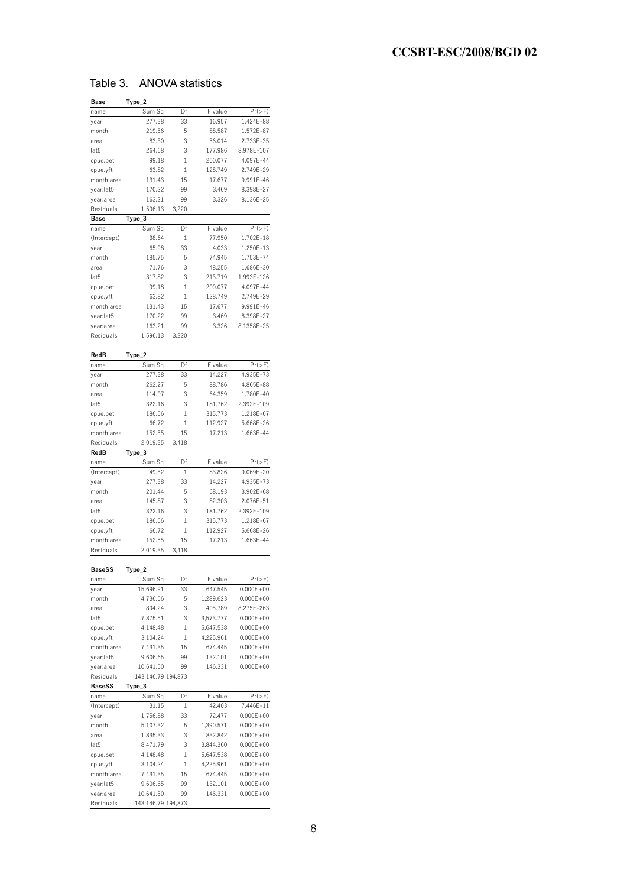## Table 3. ANOVA statistics

| Base          | Type_2             |       |           |               |
|---------------|--------------------|-------|-----------|---------------|
| name          | Sum Sq             | Df    | F value   | $Pr(>=F)$     |
| year          | 277.38             | 33    | 16.957    | 1.424E-88     |
| month         | 219.56             | 5     | 88.587    | 1.572E-87     |
|               | 83.30              | 3     | 56.014    | 2.733E-35     |
| area          |                    |       |           |               |
| lat5          | 264.68             | 3     | 177.986   | 8.978E-107    |
| cpue.bet      | 99.18              | 1     | 200.077   | 4.097E-44     |
| cpue.yft      | 63.82              | 1     | 128.749   | 2.749E-29     |
| month:area    | 131.43             | 15    | 17.677    | 9.991E-46     |
| year:lat5     | 170.22             | 99    | 3.469     | 8.398E-27     |
| year:area     | 163.21             | 99    | 3.326     | 8.136E-25     |
| Residuals     | 1.596.13           | 3,220 |           |               |
| <b>Base</b>   |                    |       |           |               |
|               | Type_3             |       |           |               |
| name          | Sum Sq             | Df    | F value   | $Pr(>=F)$     |
| (Intercept)   | 38.64              | 1     | 77.950    | 1.702E-18     |
| year          | 65.98              | 33    | 4.033     | 1.250E-13     |
| month         | 185.75             | 5     | 74.945    | 1.753E-74     |
| area          | 71.76              | 3     | 48.255    | 1.686E-30     |
| lat5          | 317.82             | 3     | 213.719   | 1.993E-126    |
| cpue.bet      | 99.18              | 1     | 200.077   | 4.097E-44     |
|               |                    | 1     |           |               |
| cpue.yft      | 63.82              |       | 128.749   | 2.749E-29     |
| month:area    | 131.43             | 15    | 17.677    | 9.991E-46     |
| year:lat5     | 170.22             | 99    | 3.469     | 8.398E-27     |
| year:area     | 163.21             | 99    | 3.326     | 8.1358E-25    |
| Residuals     | 1.596.13           | 3,220 |           |               |
|               |                    |       |           |               |
| RedB          | Type_2             |       |           |               |
|               | Sum Sq             | Df    | F value   | $Pr(>\,F)$    |
| name          |                    |       |           |               |
| year          | 277.38             | 33    | 14.227    | 4.935E-73     |
| month         | 262.27             | 5     | 88.786    | 4.865E-88     |
| area          | 114.07             | 3     | 64.359    | 1.780E-40     |
| lat5          | 322.16             | 3     | 181.762   | 2.392E-109    |
| cpue.bet      | 186.56             | 1     | 315.773   | 1.218E-67     |
| cpue.yft      | 66.72              | 1     | 112.927   | 5.668E-26     |
| month:area    | 152.55             | 15    | 17.213    | 1.663E-44     |
| Residuals     | 2,019.35           | 3,418 |           |               |
|               |                    |       |           |               |
| RedB          | Type_3             |       |           |               |
| name          | Sum Sq             | Df    | F value   | $Pr(>=F)$     |
| (Intercept)   | 49.52              | 1     | 83.826    | 9.069E-20     |
|               |                    |       |           |               |
| year          | 277.38             | 33    | 14.227    | 4.935E-73     |
| month         | 201.44             | 5     | 68.193    | 3.902E-68     |
| area          | 145.87             | 3     | 82.303    | 2.076E-51     |
|               |                    |       |           |               |
| lat5          | 322.16             | 3     | 181.762   | 2.392E-109    |
| cpue.bet      | 186.56             | 1     | 315.773   | 1.218E-67     |
| cpue.yft      | 66.72              | 1     | 112.927   | 5.668E-26     |
| month:area    | 152.55             | 15    | 17.213    | 1.663E-44     |
| Residuals     | 2,019.35           | 3,418 |           |               |
|               |                    |       |           |               |
| <b>BaseSS</b> | Type_2             |       |           |               |
|               |                    |       |           |               |
| name          | Sum Sq             | Df    | F value   | $Pr(>\,F)$    |
| year          | 15,696.91          | 33    | 647.545   | $0.000E + 00$ |
| month         | 4,736.56           | 5     | 1,289.623 | $0.000E + 00$ |
| area          | 894.24             | 3     | 405.789   | 8.275E-263    |
| lat5          | 7,875.51           | 3     | 3,573.777 | $0.000E + 00$ |
| cpue.bet      | 4,148.48           | 1     | 5,647.538 | $0.000E + 00$ |
| cpue.yft      | 3,104.24           | 1     | 4,225.961 | $0.000E + 00$ |
| month:area    | 7,431.35           | 15    | 674.445   | $0.000E + 00$ |
| year:lat5     | 9,606.65           | 99    | 132.101   | $0.000E + 00$ |
|               |                    |       |           |               |
| year:area     | 10,641.50          | 99    | 146.331   | $0.000E + 00$ |
| Residuals     | 143,146.79 194,873 |       |           |               |
| <b>BaseSS</b> | Type_3             |       |           |               |
| name          | Sum Sq             | Df    | F value   | $Pr(>\,F)$    |
| (Intercept)   | 31.15              | 1     | 42.403    | 7.446E-11     |
| year          | 1,756.88           | 33    | 72.477    | $0.000E + 00$ |
| month         | 5,107.32           | 5     | 1,390.571 | $0.000E + 00$ |
| area          | 1,835.33           | 3     | 832.842   | $0.000E + 00$ |
| lat5          |                    | 3     |           |               |
|               | 8,471.79           |       | 3,844.360 | $0.000E + 00$ |
| cpue.bet      | 4,148.48           | 1     | 5,647.538 | $0.000E + 00$ |
| cpue.yft      | 3,104.24           | 1     | 4,225.961 | $0.000E + 00$ |
| month:area    | 7,431.35           | 15    | 674.445   | $0.000E + 00$ |
| year:lat5     | 9,606.65           | 99    | 132.101   | $0.000E + 00$ |
| year:area     | 10,641.50          | 99    | 146.331   | $0.000E + 00$ |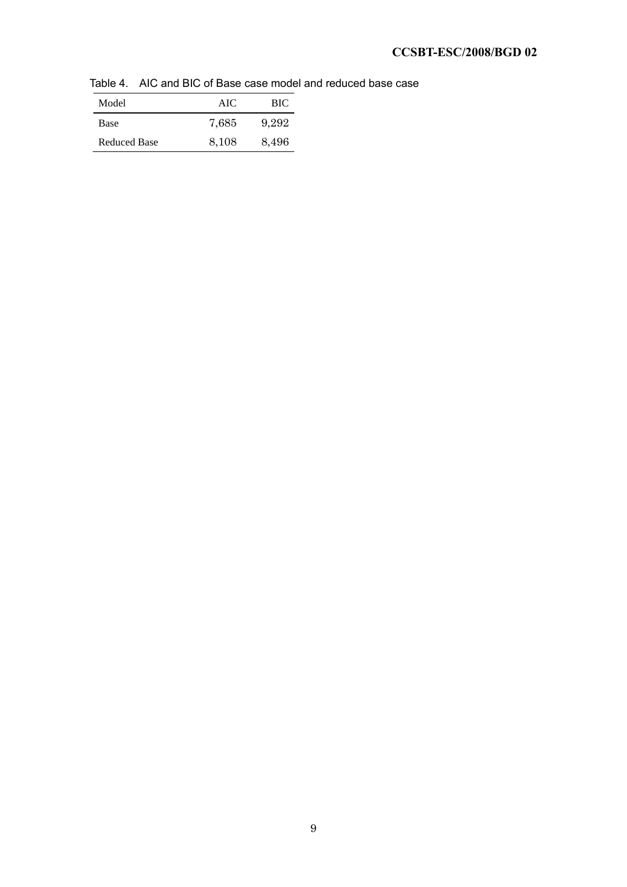Table 4. AIC and BIC of Base case model and reduced base case

| Model               | AIC   | BIC.  |
|---------------------|-------|-------|
| Base                | 7.685 | 9.292 |
| <b>Reduced Base</b> | 8.108 | 8,496 |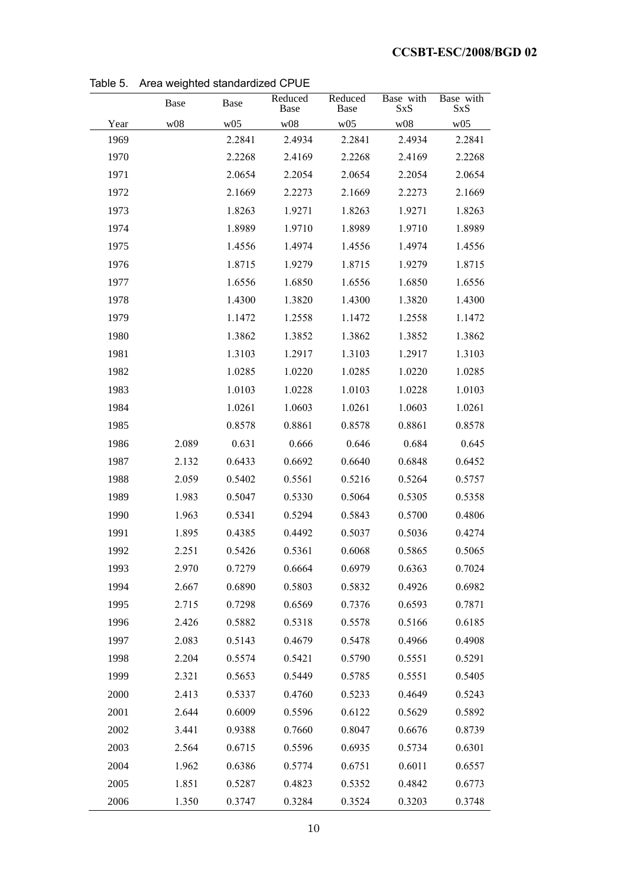|      | Base  | Base   | Reduced<br>Base | Reduced<br>Base | Base with<br><b>SxS</b> | Base with<br><b>SxS</b> |
|------|-------|--------|-----------------|-----------------|-------------------------|-------------------------|
| Year | w08   | w05    | w08             | w05             | w08                     | w05                     |
| 1969 |       | 2.2841 | 2.4934          | 2.2841          | 2.4934                  | 2.2841                  |
| 1970 |       | 2.2268 | 2.4169          | 2.2268          | 2.4169                  | 2.2268                  |
| 1971 |       | 2.0654 | 2.2054          | 2.0654          | 2.2054                  | 2.0654                  |
| 1972 |       | 2.1669 | 2.2273          | 2.1669          | 2.2273                  | 2.1669                  |
| 1973 |       | 1.8263 | 1.9271          | 1.8263          | 1.9271                  | 1.8263                  |
| 1974 |       | 1.8989 | 1.9710          | 1.8989          | 1.9710                  | 1.8989                  |
| 1975 |       | 1.4556 | 1.4974          | 1.4556          | 1.4974                  | 1.4556                  |
| 1976 |       | 1.8715 | 1.9279          | 1.8715          | 1.9279                  | 1.8715                  |
| 1977 |       | 1.6556 | 1.6850          | 1.6556          | 1.6850                  | 1.6556                  |
| 1978 |       | 1.4300 | 1.3820          | 1.4300          | 1.3820                  | 1.4300                  |
| 1979 |       | 1.1472 | 1.2558          | 1.1472          | 1.2558                  | 1.1472                  |
| 1980 |       | 1.3862 | 1.3852          | 1.3862          | 1.3852                  | 1.3862                  |
| 1981 |       | 1.3103 | 1.2917          | 1.3103          | 1.2917                  | 1.3103                  |
| 1982 |       | 1.0285 | 1.0220          | 1.0285          | 1.0220                  | 1.0285                  |
| 1983 |       | 1.0103 | 1.0228          | 1.0103          | 1.0228                  | 1.0103                  |
| 1984 |       | 1.0261 | 1.0603          | 1.0261          | 1.0603                  | 1.0261                  |
| 1985 |       | 0.8578 | 0.8861          | 0.8578          | 0.8861                  | 0.8578                  |
| 1986 | 2.089 | 0.631  | 0.666           | 0.646           | 0.684                   | 0.645                   |
| 1987 | 2.132 | 0.6433 | 0.6692          | 0.6640          | 0.6848                  | 0.6452                  |
| 1988 | 2.059 | 0.5402 | 0.5561          | 0.5216          | 0.5264                  | 0.5757                  |
| 1989 | 1.983 | 0.5047 | 0.5330          | 0.5064          | 0.5305                  | 0.5358                  |
| 1990 | 1.963 | 0.5341 | 0.5294          | 0.5843          | 0.5700                  | 0.4806                  |
| 1991 | 1.895 | 0.4385 | 0.4492          | 0.5037          | 0.5036                  | 0.4274                  |
| 1992 | 2.251 | 0.5426 | 0.5361          | 0.6068          | 0.5865                  | 0.5065                  |
| 1993 | 2.970 | 0.7279 | 0.6664          | 0.6979          | 0.6363                  | 0.7024                  |
| 1994 | 2.667 | 0.6890 | 0.5803          | 0.5832          | 0.4926                  | 0.6982                  |
| 1995 | 2.715 | 0.7298 | 0.6569          | 0.7376          | 0.6593                  | 0.7871                  |
| 1996 | 2.426 | 0.5882 | 0.5318          | 0.5578          | 0.5166                  | 0.6185                  |
| 1997 | 2.083 | 0.5143 | 0.4679          | 0.5478          | 0.4966                  | 0.4908                  |
| 1998 | 2.204 | 0.5574 | 0.5421          | 0.5790          | 0.5551                  | 0.5291                  |
| 1999 | 2.321 | 0.5653 | 0.5449          | 0.5785          | 0.5551                  | 0.5405                  |
| 2000 | 2.413 | 0.5337 | 0.4760          | 0.5233          | 0.4649                  | 0.5243                  |
| 2001 | 2.644 | 0.6009 | 0.5596          | 0.6122          | 0.5629                  | 0.5892                  |
| 2002 | 3.441 | 0.9388 | 0.7660          | 0.8047          | 0.6676                  | 0.8739                  |
| 2003 | 2.564 | 0.6715 | 0.5596          | 0.6935          | 0.5734                  | 0.6301                  |
| 2004 | 1.962 | 0.6386 | 0.5774          | 0.6751          | 0.6011                  | 0.6557                  |
| 2005 | 1.851 | 0.5287 | 0.4823          | 0.5352          | 0.4842                  | 0.6773                  |
| 2006 | 1.350 | 0.3747 | 0.3284          | 0.3524          | 0.3203                  | 0.3748                  |

Table 5. Area weighted standardized CPUE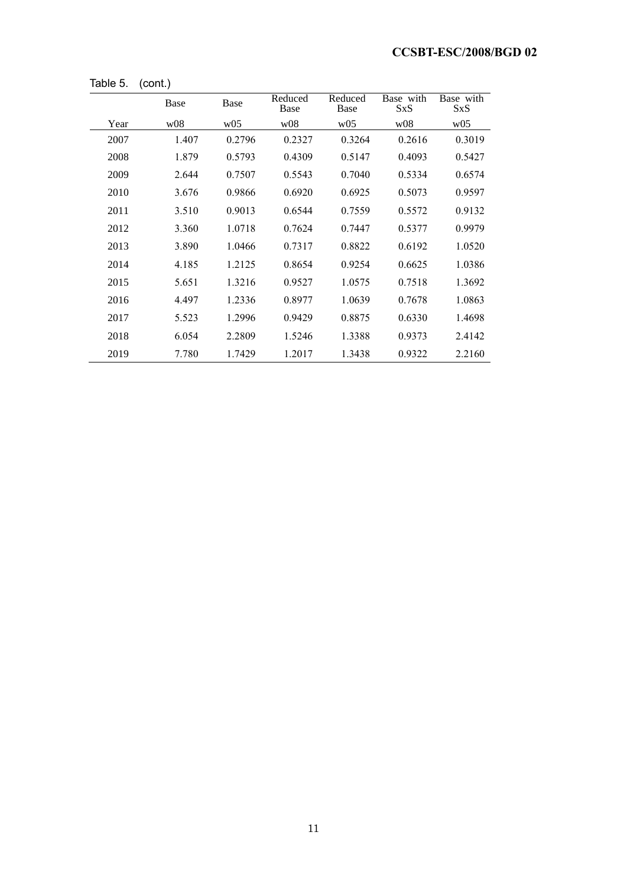|      | Base            | Base            | Reduced<br>Base | Reduced<br>Base | Base with<br><b>SxS</b> | Base with<br><b>SxS</b> |
|------|-----------------|-----------------|-----------------|-----------------|-------------------------|-------------------------|
| Year | W <sub>08</sub> | W <sub>05</sub> | w08             | W <sub>05</sub> | W <sub>08</sub>         | W <sub>05</sub>         |
| 2007 | 1.407           | 0.2796          | 0.2327          | 0.3264          | 0.2616                  | 0.3019                  |
| 2008 | 1.879           | 0.5793          | 0.4309          | 0.5147          | 0.4093                  | 0.5427                  |
| 2009 | 2.644           | 0.7507          | 0.5543          | 0.7040          | 0.5334                  | 0.6574                  |
| 2010 | 3.676           | 0.9866          | 0.6920          | 0.6925          | 0.5073                  | 0.9597                  |
| 2011 | 3.510           | 0.9013          | 0.6544          | 0.7559          | 0.5572                  | 0.9132                  |
| 2012 | 3.360           | 1.0718          | 0.7624          | 0.7447          | 0.5377                  | 0.9979                  |
| 2013 | 3.890           | 1.0466          | 0.7317          | 0.8822          | 0.6192                  | 1.0520                  |
| 2014 | 4.185           | 1.2125          | 0.8654          | 0.9254          | 0.6625                  | 1.0386                  |
| 2015 | 5.651           | 1.3216          | 0.9527          | 1.0575          | 0.7518                  | 1.3692                  |
| 2016 | 4.497           | 1.2336          | 0.8977          | 1.0639          | 0.7678                  | 1.0863                  |
| 2017 | 5.523           | 1.2996          | 0.9429          | 0.8875          | 0.6330                  | 1.4698                  |
| 2018 | 6.054           | 2.2809          | 1.5246          | 1.3388          | 0.9373                  | 2.4142                  |
| 2019 | 7.780           | 1.7429          | 1.2017          | 1.3438          | 0.9322                  | 2.2160                  |

Table 5. (cont.)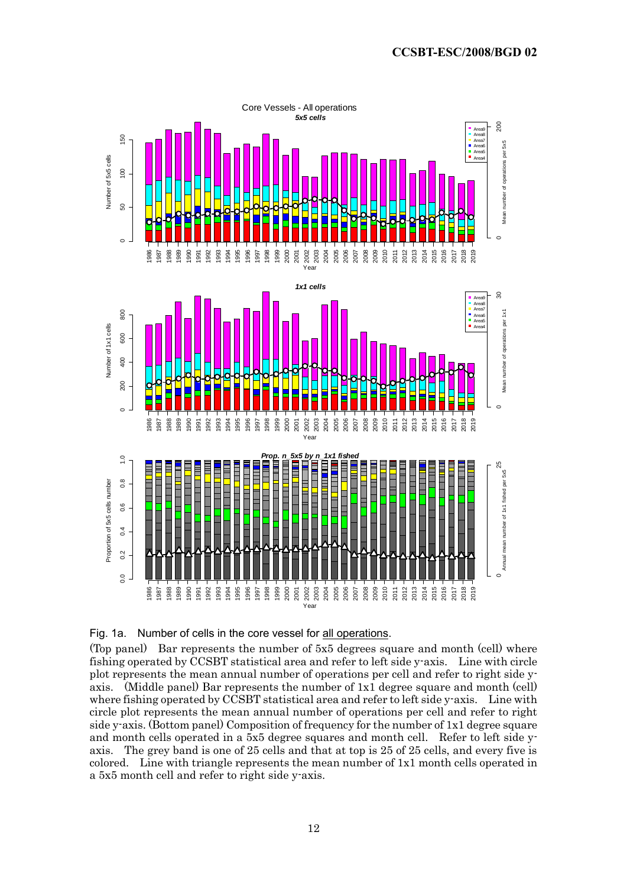



(Top panel) Bar represents the number of 5x5 degrees square and month (cell) where fishing operated by CCSBT statistical area and refer to left side y-axis. Line with circle plot represents the mean annual number of operations per cell and refer to right side yaxis. (Middle panel) Bar represents the number of 1x1 degree square and month (cell) where fishing operated by CCSBT statistical area and refer to left side y-axis. Line with circle plot represents the mean annual number of operations per cell and refer to right side y-axis. (Bottom panel) Composition of frequency for the number of 1x1 degree square and month cells operated in a 5x5 degree squares and month cell. Refer to left side yaxis. The grey band is one of 25 cells and that at top is 25 of 25 cells, and every five is colored. Line with triangle represents the mean number of 1x1 month cells operated in a 5x5 month cell and refer to right side y-axis.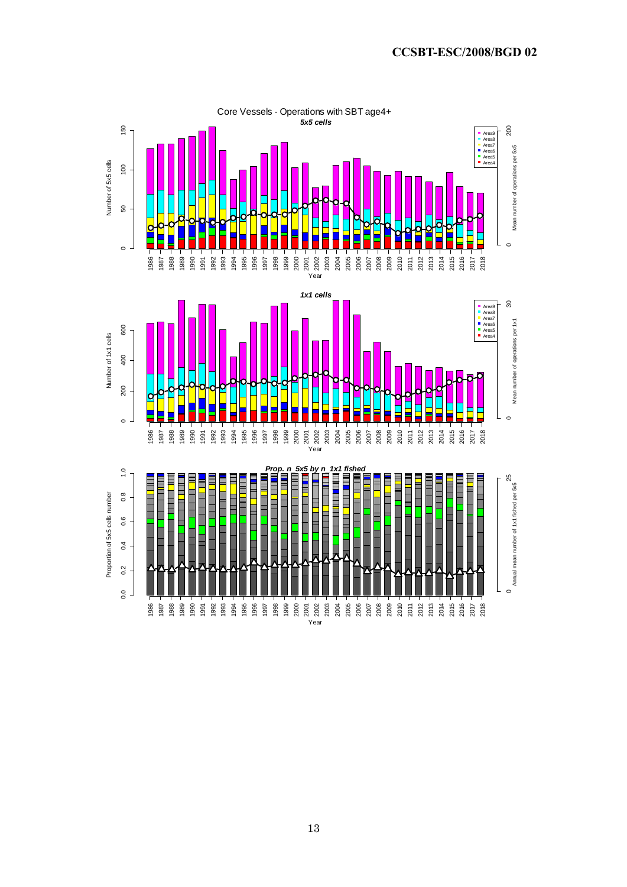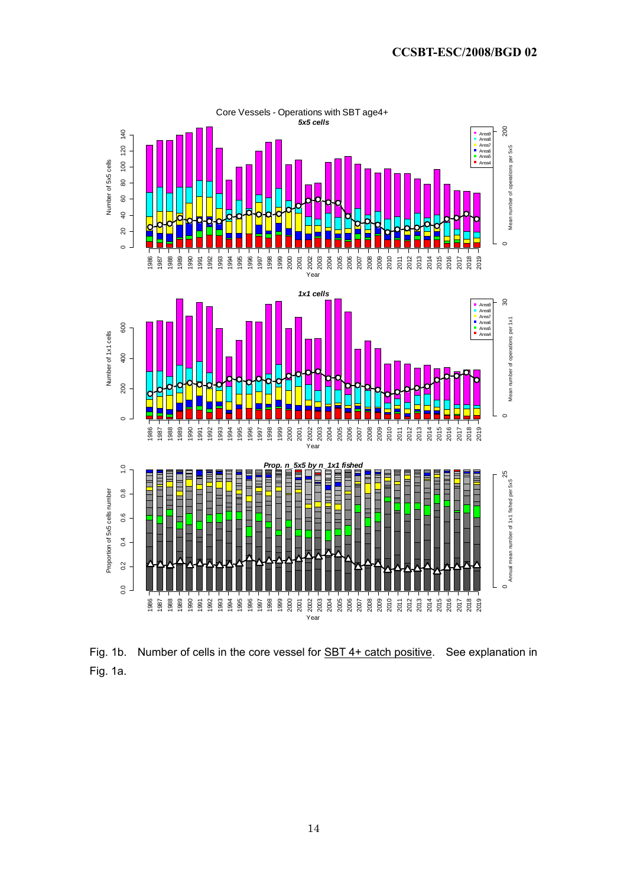

Fig. 1b. Number of cells in the core vessel for **SBT 4+ catch positive**. See explanation in Fig. 1a.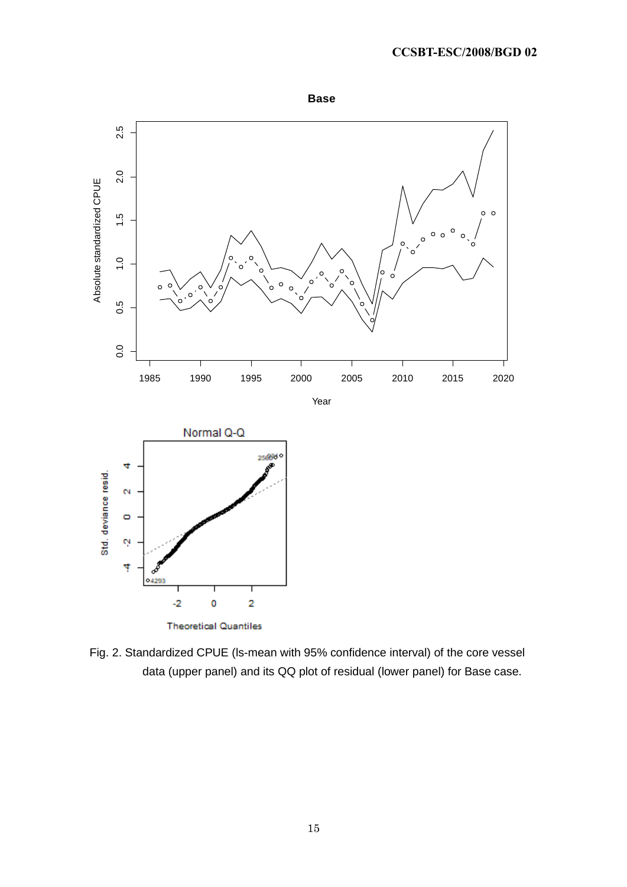

Fig. 2. Standardized CPUE (ls-mean with 95% confidence interval) of the core vessel data (upper panel) and its QQ plot of residual (lower panel) for Base case.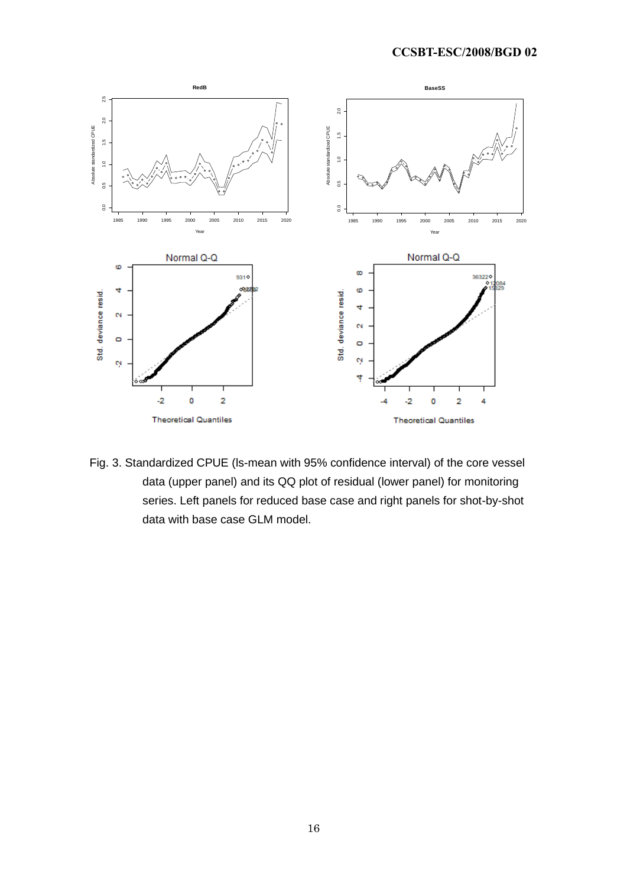

Fig. 3. Standardized CPUE (ls-mean with 95% confidence interval) of the core vessel data (upper panel) and its QQ plot of residual (lower panel) for monitoring series. Left panels for reduced base case and right panels for shot-by-shot data with base case GLM model.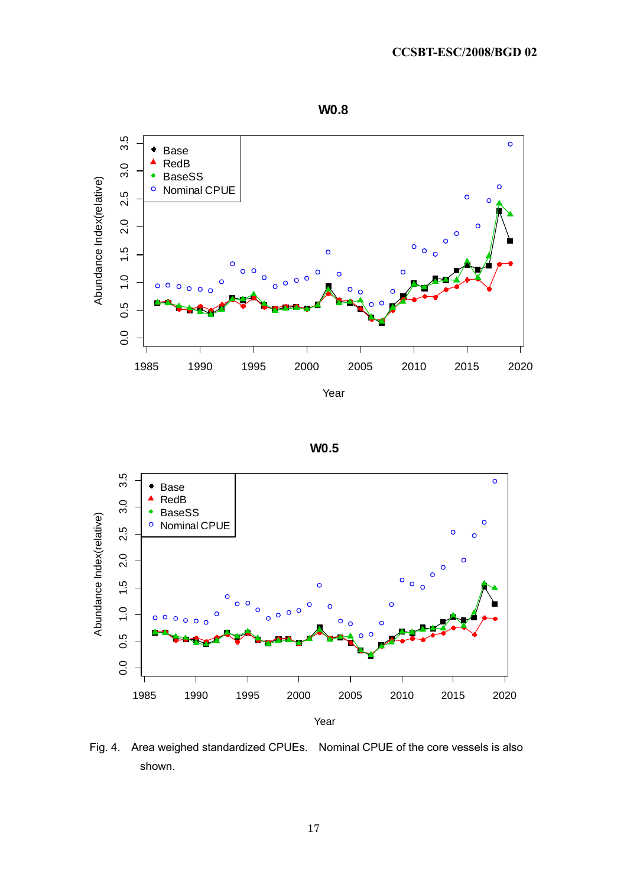







Fig. 4. Area weighed standardized CPUEs. Nominal CPUE of the core vessels is also shown.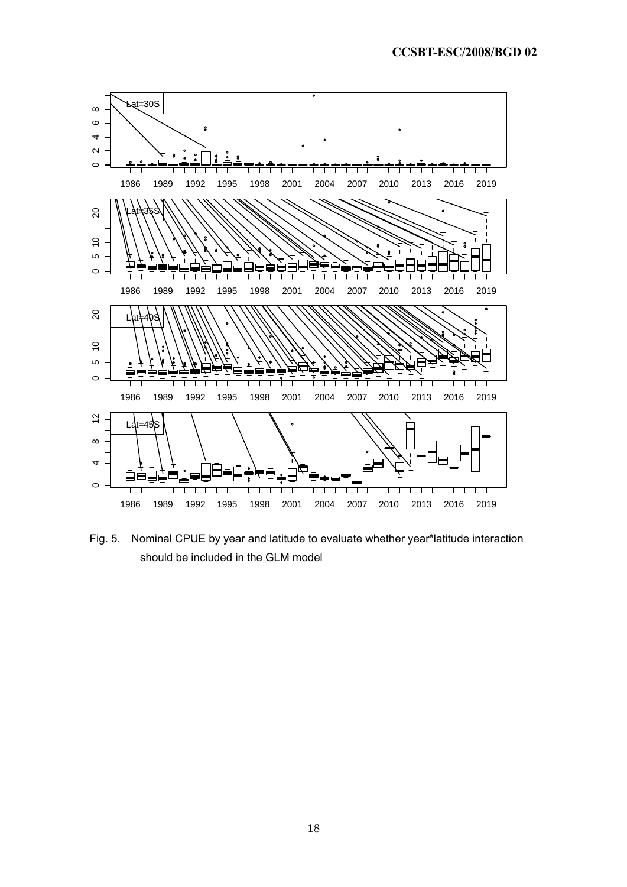

Fig. 5. Nominal CPUE by year and latitude to evaluate whether year\*latitude interaction should be included in the GLM model